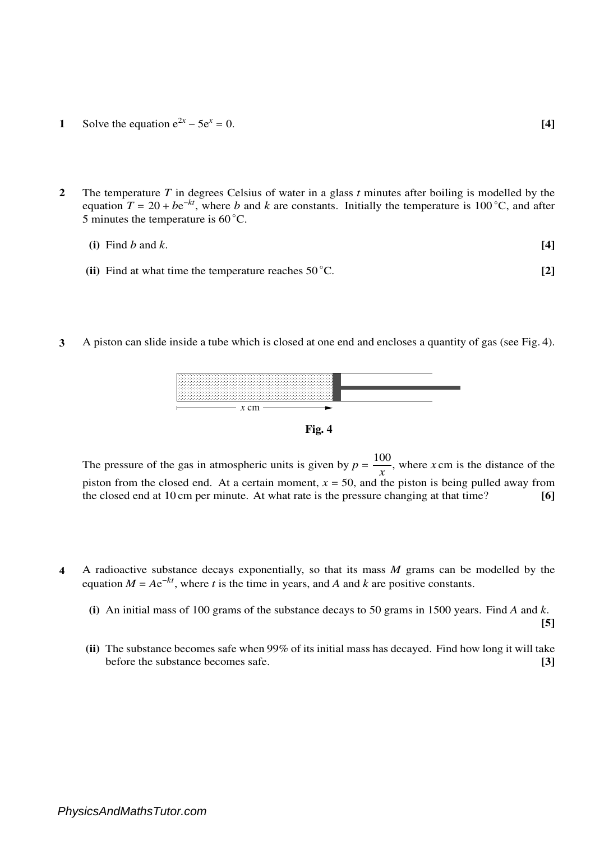- **1** Solve the equation  $e^{2x} 5e^x = 0$ . [4]
- **2** The temperature *T* in degrees Celsius of water in a glass *t* minutes after boiling is modelled by the equation  $T = 20 + be^{-kt}$ , where *b* and *k* are constants. Initially the temperature is 100 °C, and after 5 minutes the temperature is  $60^{\circ}$ C.

(i) Find 
$$
b
$$
 and  $k$ . [4]

- **(ii)** Find at what time the temperature reaches  $50^{\circ}$ C. **[2]**
- **3** A piston can slide inside a tube which is closed at one end and encloses a quantity of gas (see Fig. 4).





The pressure of the gas in atmospheric units is given by  $p = \frac{100}{r}$  $\frac{\partial v}{\partial x}$ , where *x* cm is the distance of the piston from the closed end. At a certain moment,  $x = 50$ , and the piston is being pulled away from the closed end at 10 cm per minute. At what rate is the pressure changing at that time? **[6]**

- **4** A radioactive substance decays exponentially, so that its mass *M* grams can be modelled by the equation  $M = Ae^{-kt}$ , where *t* is the time in years, and *A* and *k* are positive constants.
	- **(i)** An initial mass of 100 grams of the substance decays to 50 grams in 1500 years. Find *A* and *k*.

**[5]**

**(ii)** The substance becomes safe when 99% of its initial mass has decayed. Find how long it will take before the substance becomes safe. **[3]**